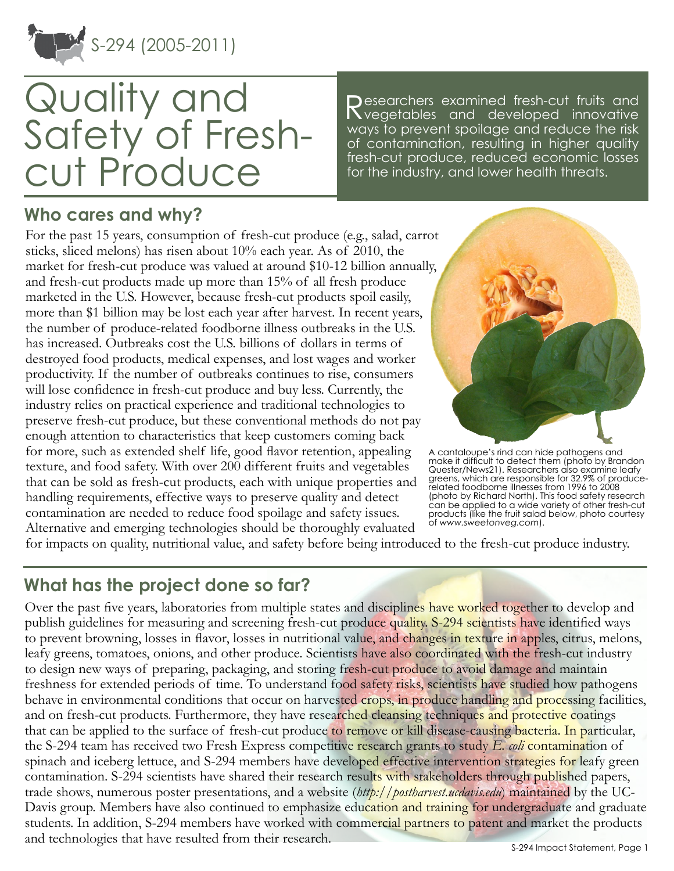

# Quality and Safety of Freshcut Produce

Researchers examined fresh-cut fruits and<br>Ryegetables and developed innovative ways to prevent spoilage and reduce the risk of contamination, resulting in higher quality fresh-cut produce, reduced economic losses for the industry, and lower health threats.

### **Who cares and why?**

For the past 15 years, consumption of fresh-cut produce (e.g., salad, carrot sticks, sliced melons) has risen about 10% each year. As of 2010, the market for fresh-cut produce was valued at around \$10-12 billion annually, and fresh-cut products made up more than 15% of all fresh produce marketed in the U.S. However, because fresh-cut products spoil easily, more than \$1 billion may be lost each year after harvest. In recent years, the number of produce-related foodborne illness outbreaks in the U.S. has increased. Outbreaks cost the U.S. billions of dollars in terms of destroyed food products, medical expenses, and lost wages and worker productivity. If the number of outbreaks continues to rise, consumers will lose confidence in fresh-cut produce and buy less. Currently, the industry relies on practical experience and traditional technologies to preserve fresh-cut produce, but these conventional methods do not pay enough attention to characteristics that keep customers coming back for more, such as extended shelf life, good flavor retention, appealing texture, and food safety. With over 200 different fruits and vegetables that can be sold as fresh-cut products, each with unique properties and handling requirements, effective ways to preserve quality and detect contamination are needed to reduce food spoilage and safety issues. Alternative and emerging technologies should be thoroughly evaluated



A cantaloupe's rind can hide pathogens and make it difficult to detect them (photo by Brandon Quester/News21). Researchers also examine leafy greens, which are responsible for 32.9% of producerelated foodborne illnesses from 1996 to 2008 (photo by Richard North). This food safety research can be applied to a wide variety of other fresh-cut products (like the fruit salad below, photo courtesy of *<www.sweetonveg.com>*).

for impacts on quality, nutritional value, and safety before being introduced to the fresh-cut produce industry.

## **What has the project done so far?**

Over the past five years, laboratories from multiple states and disciplines have worked together to develop and publish guidelines for measuring and screening fresh-cut produce quality. S-294 scientists have identified ways to prevent browning, losses in flavor, losses in nutritional value, and changes in texture in apples, citrus, melons, leafy greens, tomatoes, onions, and other produce. Scientists have also coordinated with the fresh-cut industry to design new ways of preparing, packaging, and storing fresh-cut produce to avoid damage and maintain freshness for extended periods of time. To understand food safety risks, scientists have studied how pathogens behave in environmental conditions that occur on harvested crops, in produce handling and processing facilities, and on fresh-cut products. Furthermore, they have researched cleansing techniques and protective coatings that can be applied to the surface of fresh-cut produce to remove or kill disease-causing bacteria. In particular, the S-294 team has received two Fresh Express competitive research grants to study *E. coli* contamination of spinach and iceberg lettuce, and S-294 members have developed effective intervention strategies for leafy green contamination. S-294 scientists have shared their research results with stakeholders through published papers, trade shows, numerous poster presentations, and a website (*<http://postharvest.ucdavis.edu>*) maintained by the UC-Davis group. Members have also continued to emphasize education and training for undergraduate and graduate students. In addition, S-294 members have worked with commercial partners to patent and market the products and technologies that have resulted from their research.